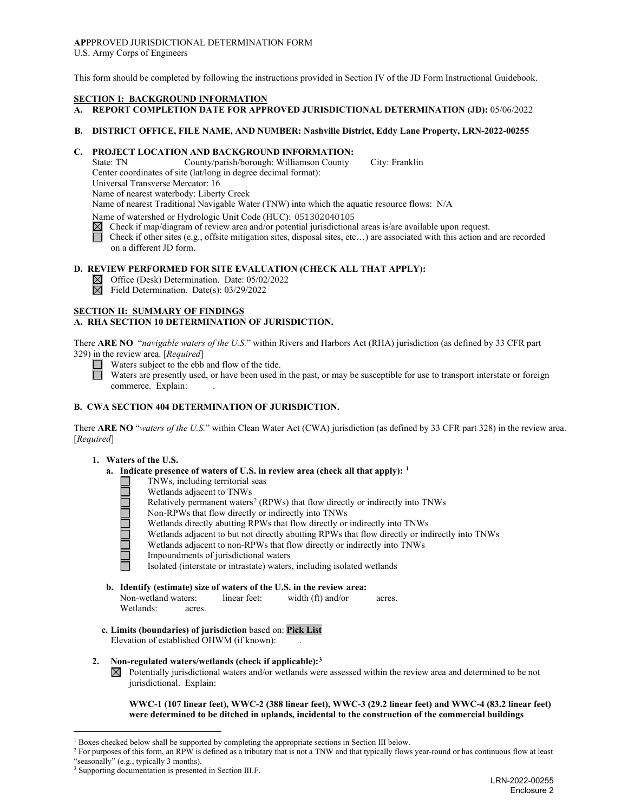## **AP**PPROVED JURISDICTIONAL DETERMINATION FORM

U.S. Army Corps of Engineers

This form should be completed by following the instructions provided in Section IV of the JD Form Instructional Guidebook.

#### **SECTION I: BACKGROUND INFORMATION**

#### **A. REPORT COMPLETION DATE FOR APPROVED JURISDICTIONAL DETERMINATION (JD):** 05/06/2022

#### **B. DISTRICT OFFICE, FILE NAME, AND NUMBER: Nashville District, Eddy Lane Property, LRN-2022-00255**

# **C. PROJECT LOCATION AND BACKGROUND INFORMATION:**

County/parish/borough: Williamson County City: Franklin Center coordinates of site (lat/long in degree decimal format): Universal Transverse Mercator: 16 Name of nearest waterbody: Liberty Creek

Name of nearest Traditional Navigable Water (TNW) into which the aquatic resource flows: N/A

Name of watershed or Hydrologic Unit Code (HUC): 051302040105

 $\boxtimes$  Check if map/diagram of review area and/or potential jurisdictional areas is/are available upon request.

 Check if other sites (e.g., offsite mitigation sites, disposal sites, etc…) are associated with this action and are recorded on a different JD form.

#### **D. REVIEW PERFORMED FOR SITE EVALUATION (CHECK ALL THAT APPLY):**

 $\boxtimes$  Office (Desk) Determination. Date: 05/02/2022

Field Determination. Date(s): 03/29/2022

#### **SECTION II: SUMMARY OF FINDINGS**

#### **A. RHA SECTION 10 DETERMINATION OF JURISDICTION.**

There **ARE NO** "*navigable waters of the U.S.*" within Rivers and Harbors Act (RHA) jurisdiction (as defined by 33 CFR part 329) in the review area. [*Required*]

Waters subject to the ebb and flow of the tide.

Waters are presently used, or have been used in the past, or may be susceptible for use to transport interstate or foreign commerce. Explain:

#### **B. CWA SECTION 404 DETERMINATION OF JURISDICTION.**

There **ARE NO** "*waters of the U.S.*" within Clean Water Act (CWA) jurisdiction (as defined by 33 CFR part 328) in the review area. [*Required*]

#### **1. Waters of the U.S.**

- **a. Indicate presence of waters of U.S. in review area (check all that apply): [1](#page-0-0)**
	- TNWs, including territorial seas
		- Wetlands adjacent to TNWs
	- Relatively permanent waters<sup>[2](#page-0-1)</sup> (RPWs) that flow directly or indirectly into TNWs
	- Non-RPWs that flow directly or indirectly into TNWs
	- Wetlands directly abutting RPWs that flow directly or indirectly into TNWs
	- Wetlands adjacent to but not directly abutting RPWs that flow directly or indirectly into TNWs
		- Wetlands adjacent to non-RPWs that flow directly or indirectly into TNWs
	- Impoundments of jurisdictional waters

Isolated (interstate or intrastate) waters, including isolated wetlands

- **b. Identify (estimate) size of waters of the U.S. in the review area:** Non-wetland waters: linear feet: width (ft) and/or acres. Wetlands: acres.
- **c. Limits (boundaries) of jurisdiction** based on: **Pick List**

Elevation of established OHWM (if known): .

#### **2. Non-regulated waters/wetlands (check if applicable):[3](#page-0-2)**

 $\boxtimes$  Potentially jurisdictional waters and/or wetlands were assessed within the review area and determined to be not jurisdictional. Explain:

**WWC-1 (107 linear feet), WWC-2 (388 linear feet), WWC-3 (29.2 linear feet) and WWC-4 (83.2 linear feet) were determined to be ditched in uplands, incidental to the construction of the commercial buildings** 

<span id="page-0-1"></span><span id="page-0-0"></span><sup>&</sup>lt;sup>1</sup> Boxes checked below shall be supported by completing the appropriate sections in Section III below.<br><sup>2</sup> For purposes of this form, an RPW is defined as a tributary that is not a TNW and that typically flows year-round

<span id="page-0-2"></span><sup>&</sup>lt;sup>3</sup> Supporting documentation is presented in Section III.F.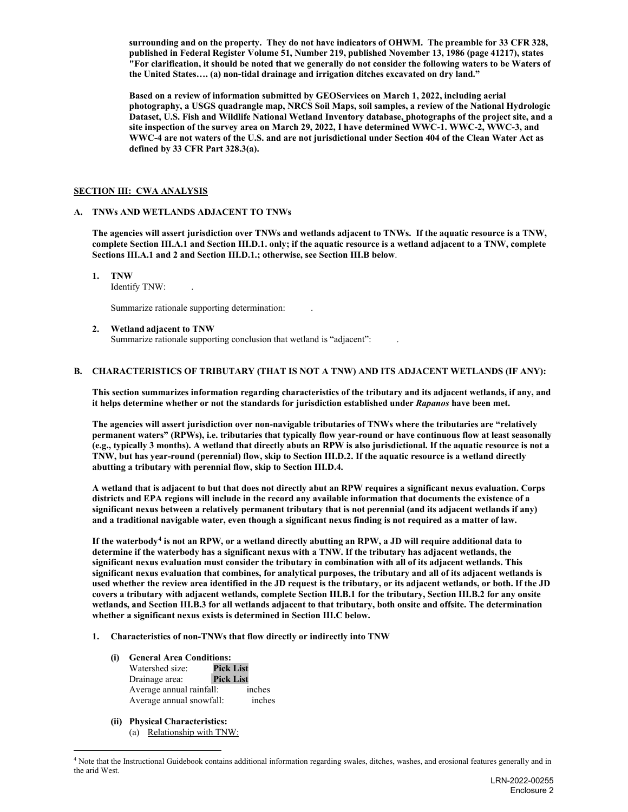**surrounding and on the property. They do not have indicators of OHWM. The preamble for 33 CFR 328, published in Federal Register Volume 51, Number 219, published November 13, 1986 (page 41217), states "For clarification, it should be noted that we generally do not consider the following waters to be Waters of the United States…. (a) non-tidal drainage and irrigation ditches excavated on dry land."** 

**Based on a review of information submitted by GEOServices on March 1, 2022, including aerial photography, a USGS quadrangle map, NRCS Soil Maps, soil samples, a review of the National Hydrologic Dataset, U.S. Fish and Wildlife National Wetland Inventory database, photographs of the project site, and a site inspection of the survey area on March 29, 2022, I have determined WWC-1. WWC-2, WWC-3, and WWC-4 are not waters of the U.S. and are not jurisdictional under Section 404 of the Clean Water Act as defined by 33 CFR Part 328.3(a).**

#### **SECTION III: CWA ANALYSIS**

#### **A. TNWs AND WETLANDS ADJACENT TO TNWs**

**The agencies will assert jurisdiction over TNWs and wetlands adjacent to TNWs. If the aquatic resource is a TNW, complete Section III.A.1 and Section III.D.1. only; if the aquatic resource is a wetland adjacent to a TNW, complete Sections III.A.1 and 2 and Section III.D.1.; otherwise, see Section III.B below**.

**1. TNW**

Identify TNW: .

Summarize rationale supporting determination: .

#### **2. Wetland adjacent to TNW**

Summarize rationale supporting conclusion that wetland is "adjacent":

#### **B. CHARACTERISTICS OF TRIBUTARY (THAT IS NOT A TNW) AND ITS ADJACENT WETLANDS (IF ANY):**

**This section summarizes information regarding characteristics of the tributary and its adjacent wetlands, if any, and it helps determine whether or not the standards for jurisdiction established under** *Rapanos* **have been met.**

**The agencies will assert jurisdiction over non-navigable tributaries of TNWs where the tributaries are "relatively permanent waters" (RPWs), i.e. tributaries that typically flow year-round or have continuous flow at least seasonally (e.g., typically 3 months). A wetland that directly abuts an RPW is also jurisdictional. If the aquatic resource is not a TNW, but has year-round (perennial) flow, skip to Section III.D.2. If the aquatic resource is a wetland directly abutting a tributary with perennial flow, skip to Section III.D.4.**

**A wetland that is adjacent to but that does not directly abut an RPW requires a significant nexus evaluation. Corps districts and EPA regions will include in the record any available information that documents the existence of a significant nexus between a relatively permanent tributary that is not perennial (and its adjacent wetlands if any) and a traditional navigable water, even though a significant nexus finding is not required as a matter of law.**

**If the waterbody[4](#page-1-0) is not an RPW, or a wetland directly abutting an RPW, a JD will require additional data to determine if the waterbody has a significant nexus with a TNW. If the tributary has adjacent wetlands, the significant nexus evaluation must consider the tributary in combination with all of its adjacent wetlands. This significant nexus evaluation that combines, for analytical purposes, the tributary and all of its adjacent wetlands is used whether the review area identified in the JD request is the tributary, or its adjacent wetlands, or both. If the JD covers a tributary with adjacent wetlands, complete Section III.B.1 for the tributary, Section III.B.2 for any onsite wetlands, and Section III.B.3 for all wetlands adjacent to that tributary, both onsite and offsite. The determination whether a significant nexus exists is determined in Section III.C below.**

- **1. Characteristics of non-TNWs that flow directly or indirectly into TNW**
	- **(i) General Area Conditions:** Watershed size: **Pick List** Drainage area: Average annual rainfall: inches Average annual snowfall: inches
	- **(ii) Physical Characteristics:**
		- (a) Relationship with TNW:

<span id="page-1-0"></span><sup>&</sup>lt;sup>4</sup> Note that the Instructional Guidebook contains additional information regarding swales, ditches, washes, and erosional features generally and in the arid West.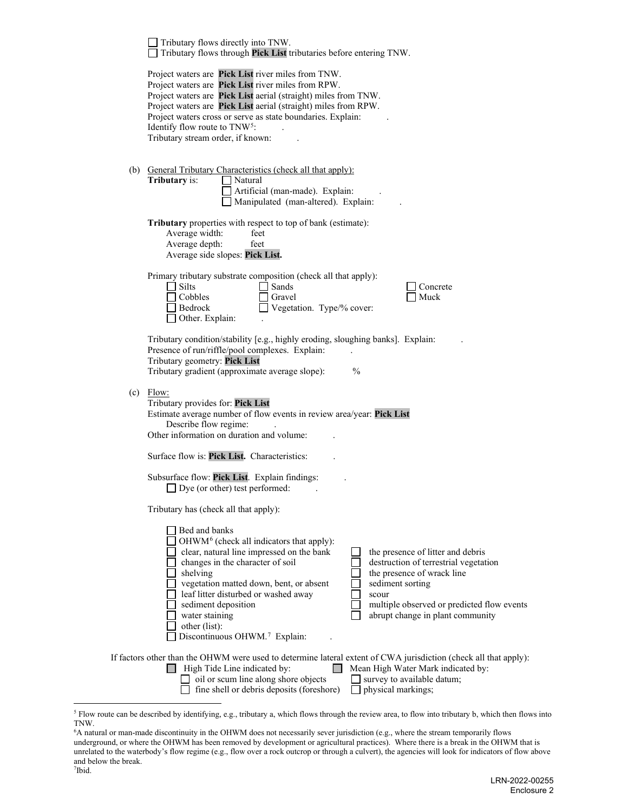|                                                                                                                                                                                                                                                                                                                                                                                                                                            | Tributary flows directly into TNW.<br>Tributary flows through Pick List tributaries before entering TNW.                                                                                                                                                                                                                                                                                                                                                                                                                                                                                |  |  |  |  |  |                                              |
|--------------------------------------------------------------------------------------------------------------------------------------------------------------------------------------------------------------------------------------------------------------------------------------------------------------------------------------------------------------------------------------------------------------------------------------------|-----------------------------------------------------------------------------------------------------------------------------------------------------------------------------------------------------------------------------------------------------------------------------------------------------------------------------------------------------------------------------------------------------------------------------------------------------------------------------------------------------------------------------------------------------------------------------------------|--|--|--|--|--|----------------------------------------------|
|                                                                                                                                                                                                                                                                                                                                                                                                                                            | Project waters are Pick List river miles from TNW.<br>Project waters are Pick List river miles from RPW.<br>Project waters are Pick List aerial (straight) miles from TNW.<br>Project waters are Pick List aerial (straight) miles from RPW.<br>Project waters cross or serve as state boundaries. Explain:<br>Identify flow route to TNW <sup>5</sup> :<br>Tributary stream order, if known:                                                                                                                                                                                           |  |  |  |  |  |                                              |
|                                                                                                                                                                                                                                                                                                                                                                                                                                            | (b) General Tributary Characteristics (check all that apply):<br>Tributary is:<br>Natural<br>Artificial (man-made). Explain:<br>Manipulated (man-altered). Explain:                                                                                                                                                                                                                                                                                                                                                                                                                     |  |  |  |  |  |                                              |
|                                                                                                                                                                                                                                                                                                                                                                                                                                            | Tributary properties with respect to top of bank (estimate):<br>Average width:<br>feet<br>Average depth:<br>feet<br>Average side slopes: Pick List.                                                                                                                                                                                                                                                                                                                                                                                                                                     |  |  |  |  |  |                                              |
|                                                                                                                                                                                                                                                                                                                                                                                                                                            | Primary tributary substrate composition (check all that apply):<br>$\Box$ Silts<br>Sands<br>Concrete<br>Cobbles<br>Muck<br>Gravel<br>Vegetation. Type/% cover:<br>Bedrock<br>Other. Explain:                                                                                                                                                                                                                                                                                                                                                                                            |  |  |  |  |  |                                              |
| Tributary condition/stability [e.g., highly eroding, sloughing banks]. Explain:<br>Presence of run/riffle/pool complexes. Explain:<br>Tributary geometry: Pick List<br>Tributary gradient (approximate average slope):<br>$\frac{0}{0}$<br>$(c)$ Flow:<br>Tributary provides for: Pick List<br>Estimate average number of flow events in review area/year: Pick List<br>Describe flow regime:<br>Other information on duration and volume: |                                                                                                                                                                                                                                                                                                                                                                                                                                                                                                                                                                                         |  |  |  |  |  |                                              |
|                                                                                                                                                                                                                                                                                                                                                                                                                                            |                                                                                                                                                                                                                                                                                                                                                                                                                                                                                                                                                                                         |  |  |  |  |  | Surface flow is: Pick List. Characteristics: |
|                                                                                                                                                                                                                                                                                                                                                                                                                                            | Subsurface flow: Pick List. Explain findings:<br>$\Box$ Dye (or other) test performed:                                                                                                                                                                                                                                                                                                                                                                                                                                                                                                  |  |  |  |  |  |                                              |
|                                                                                                                                                                                                                                                                                                                                                                                                                                            | Tributary has (check all that apply):                                                                                                                                                                                                                                                                                                                                                                                                                                                                                                                                                   |  |  |  |  |  |                                              |
|                                                                                                                                                                                                                                                                                                                                                                                                                                            | Bed and banks<br>OHWM <sup>6</sup> (check all indicators that apply):<br>clear, natural line impressed on the bank<br>the presence of litter and debris<br>changes in the character of soil<br>destruction of terrestrial vegetation<br>the presence of wrack line<br>shelving<br>sediment sorting<br>vegetation matted down, bent, or absent<br>leaf litter disturbed or washed away<br>scour<br>sediment deposition<br>multiple observed or predicted flow events<br>abrupt change in plant community<br>water staining<br>other (list):<br>Discontinuous OHWM. <sup>7</sup> Explain: |  |  |  |  |  |                                              |
|                                                                                                                                                                                                                                                                                                                                                                                                                                            | If factors other than the OHWM were used to determine lateral extent of CWA jurisdiction (check all that apply):<br>High Tide Line indicated by:<br>Mean High Water Mark indicated by:<br>oil or scum line along shore objects<br>survey to available datum;<br>fine shell or debris deposits (foreshore)<br>physical markings;                                                                                                                                                                                                                                                         |  |  |  |  |  |                                              |

<span id="page-2-0"></span><sup>&</sup>lt;sup>5</sup> Flow route can be described by identifying, e.g., tributary a, which flows through the review area, to flow into tributary b, which then flows into TNW.

<span id="page-2-2"></span><span id="page-2-1"></span><sup>6</sup> A natural or man-made discontinuity in the OHWM does not necessarily sever jurisdiction (e.g., where the stream temporarily flows underground, or where the OHWM has been removed by development or agricultural practices). Where there is a break in the OHWM that is unrelated to the waterbody's flow regime (e.g., flow over a rock outcrop or through a culvert), the agencies will look for indicators of flow above and below the break. 7 Ibid.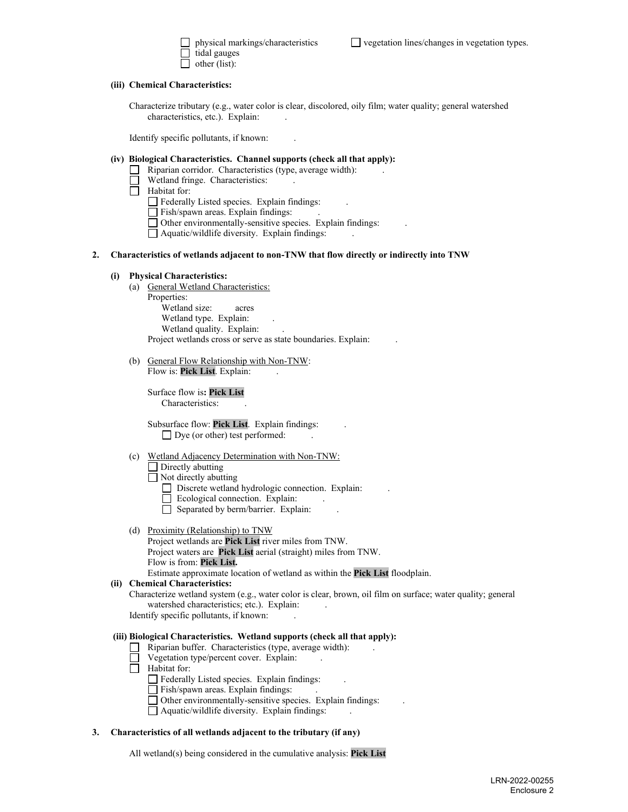| physical markings/characteristics |
|-----------------------------------|
| tidal gauges                      |
| other (list):                     |

**(iii) Chemical Characteristics:**

Characterize tributary (e.g., water color is clear, discolored, oily film; water quality; general watershed characteristics, etc.). Explain:

Identify specific pollutants, if known: .

#### **(iv) Biological Characteristics. Channel supports (check all that apply):**

- $\Box$  Riparian corridor. Characteristics (type, average width):
- Wetland fringe. Characteristics:
- Habitat for:
	- Federally Listed species. Explain findings: .
	- Fish/spawn areas. Explain findings:
	- Other environmentally-sensitive species. Explain findings: .
	- $\Box$  Aquatic/wildlife diversity. Explain findings:

#### **2. Characteristics of wetlands adjacent to non-TNW that flow directly or indirectly into TNW**

#### **(i) Physical Characteristics:**

- (a) General Wetland Characteristics: Properties: Wetland size: acres Wetland type. Explain: Wetland quality. Explain: Project wetlands cross or serve as state boundaries. Explain: .
- (b) General Flow Relationship with Non-TNW: Flow is: Pick List. Explain:

Surface flow is**: Pick List**  Characteristics: .

Subsurface flow: **Pick List**. Explain findings: .  $\Box$  Dye (or other) test performed:

#### (c) Wetland Adjacency Determination with Non-TNW:

Directly abutting

Not directly abutting

- Discrete wetland hydrologic connection. Explain: .
- Ecological connection. Explain: .
- Separated by berm/barrier. Explain: .

#### (d) Proximity (Relationship) to TNW

Project wetlands are **Pick List** river miles from TNW. Project waters are **Pick List** aerial (straight) miles from TNW. Flow is from: **Pick List.**

### Estimate approximate location of wetland as within the **Pick List** floodplain.

#### **(ii) Chemical Characteristics:**

Characterize wetland system (e.g., water color is clear, brown, oil film on surface; water quality; general watershed characteristics; etc.). Explain:

Identify specific pollutants, if known: .

#### **(iii) Biological Characteristics. Wetland supports (check all that apply):**

- $\Box$  Riparian buffer. Characteristics (type, average width):
- Vegetation type/percent cover. Explain: .
- $\Box$  Habitat for:
	- $\Box$  Federally Listed species. Explain findings:
	- $\Box$  Fish/spawn areas. Explain findings:
	- Other environmentally-sensitive species. Explain findings: .
	- $\Box$  Aquatic/wildlife diversity. Explain findings:

#### **3. Characteristics of all wetlands adjacent to the tributary (if any)**

All wetland(s) being considered in the cumulative analysis: **Pick List**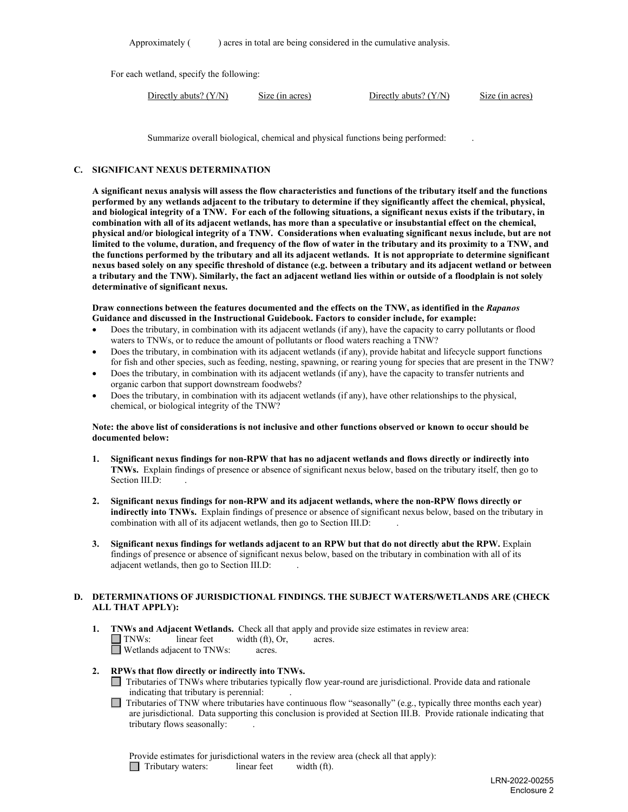Approximately () acres in total are being considered in the cumulative analysis.

For each wetland, specify the following:

Directly abuts?  $(Y/N)$  Size (in acres) Directly abuts?  $(Y/N)$  Size (in acres)

Summarize overall biological, chemical and physical functions being performed: .

#### **C. SIGNIFICANT NEXUS DETERMINATION**

**A significant nexus analysis will assess the flow characteristics and functions of the tributary itself and the functions performed by any wetlands adjacent to the tributary to determine if they significantly affect the chemical, physical, and biological integrity of a TNW. For each of the following situations, a significant nexus exists if the tributary, in combination with all of its adjacent wetlands, has more than a speculative or insubstantial effect on the chemical, physical and/or biological integrity of a TNW. Considerations when evaluating significant nexus include, but are not limited to the volume, duration, and frequency of the flow of water in the tributary and its proximity to a TNW, and the functions performed by the tributary and all its adjacent wetlands. It is not appropriate to determine significant nexus based solely on any specific threshold of distance (e.g. between a tributary and its adjacent wetland or between a tributary and the TNW). Similarly, the fact an adjacent wetland lies within or outside of a floodplain is not solely determinative of significant nexus.**

#### **Draw connections between the features documented and the effects on the TNW, as identified in the** *Rapanos* **Guidance and discussed in the Instructional Guidebook. Factors to consider include, for example:**

- Does the tributary, in combination with its adjacent wetlands (if any), have the capacity to carry pollutants or flood waters to TNWs, or to reduce the amount of pollutants or flood waters reaching a TNW?
- Does the tributary, in combination with its adjacent wetlands (if any), provide habitat and lifecycle support functions for fish and other species, such as feeding, nesting, spawning, or rearing young for species that are present in the TNW?
- Does the tributary, in combination with its adjacent wetlands (if any), have the capacity to transfer nutrients and organic carbon that support downstream foodwebs?
- Does the tributary, in combination with its adjacent wetlands (if any), have other relationships to the physical, chemical, or biological integrity of the TNW?

#### **Note: the above list of considerations is not inclusive and other functions observed or known to occur should be documented below:**

- **1. Significant nexus findings for non-RPW that has no adjacent wetlands and flows directly or indirectly into TNWs.** Explain findings of presence or absence of significant nexus below, based on the tributary itself, then go to Section III.D:
- **2. Significant nexus findings for non-RPW and its adjacent wetlands, where the non-RPW flows directly or indirectly into TNWs.** Explain findings of presence or absence of significant nexus below, based on the tributary in combination with all of its adjacent wetlands, then go to Section III.D: .
- **3. Significant nexus findings for wetlands adjacent to an RPW but that do not directly abut the RPW.** Explain findings of presence or absence of significant nexus below, based on the tributary in combination with all of its adjacent wetlands, then go to Section III.D: .

#### **D. DETERMINATIONS OF JURISDICTIONAL FINDINGS. THE SUBJECT WATERS/WETLANDS ARE (CHECK ALL THAT APPLY):**

**1. INWs and Adjacent Wetlands.** Check all that apply and provide size estimates in review area:<br> **INWs:** linear feet width (ft), Or, acres. width  $(ft)$ , Or, acres. Wetlands adjacent to TNWs: acres.

#### **2. RPWs that flow directly or indirectly into TNWs.**

Tributaries of TNWs where tributaries typically flow year-round are jurisdictional. Provide data and rationale indicating that tributary is perennial: .

Tributaries of TNW where tributaries have continuous flow "seasonally" (e.g., typically three months each year)  $\Box$ are jurisdictional. Data supporting this conclusion is provided at Section III.B. Provide rationale indicating that tributary flows seasonally: .

Provide estimates for jurisdictional waters in the review area (check all that apply): Tributary waters:linear feetwidth (ft).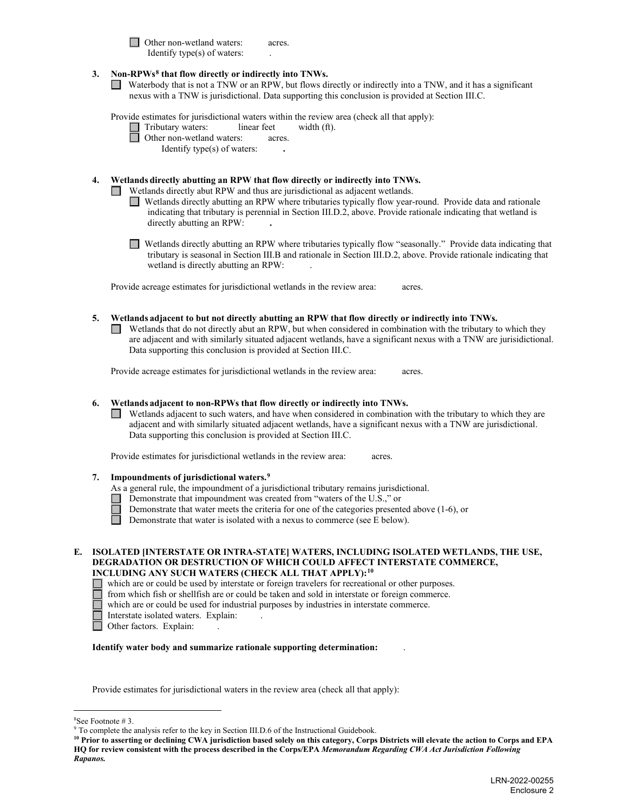□ Other non-wetland waters: acres. Identify type $(s)$  of waters:

#### **3. Non-RPWs[8](#page-5-0) that flow directly or indirectly into TNWs.**

Waterbody that is not a TNW or an RPW, but flows directly or indirectly into a TNW, and it has a significant nexus with a TNW is jurisdictional. Data supporting this conclusion is provided at Section III.C.

Provide estimates for jurisdictional waters within the review area (check all that apply):  $\Box$ 

 $\text{linear feet}$  width (ft).

| Tributary waters:         | linear feet |       |
|---------------------------|-------------|-------|
| Other non-wetland waters: |             | acres |
|                           |             |       |

Identify type(s) of waters: **.** 

#### **4. Wetlands directly abutting an RPW that flow directly or indirectly into TNWs.**

Wetlands directly abut RPW and thus are jurisdictional as adjacent wetlands.

- Wetlands directly abutting an RPW where tributaries typically flow year-round. Provide data and rationale indicating that tributary is perennial in Section III.D.2, above. Provide rationale indicating that wetland is directly abutting an RPW: **.**
- Wetlands directly abutting an RPW where tributaries typically flow "seasonally." Provide data indicating that tributary is seasonal in Section III.B and rationale in Section III.D.2, above. Provide rationale indicating that wetland is directly abutting an RPW:

Provide acreage estimates for jurisdictional wetlands in the review area: acres.

#### **5. Wetlands adjacent to but not directly abutting an RPW that flow directly or indirectly into TNWs.**

 $\Box$  Wetlands that do not directly abut an RPW, but when considered in combination with the tributary to which they are adjacent and with similarly situated adjacent wetlands, have a significant nexus with a TNW are jurisidictional. Data supporting this conclusion is provided at Section III.C.

Provide acreage estimates for jurisdictional wetlands in the review area: acres.

#### **6. Wetlands adjacent to non-RPWs that flow directly or indirectly into TNWs.**

Wetlands adjacent to such waters, and have when considered in combination with the tributary to which they are adjacent and with similarly situated adjacent wetlands, have a significant nexus with a TNW are jurisdictional. Data supporting this conclusion is provided at Section III.C.

Provide estimates for jurisdictional wetlands in the review area: acres.

#### **7. Impoundments of jurisdictional waters.[9](#page-5-1)**

- As a general rule, the impoundment of a jurisdictional tributary remains jurisdictional.
- Demonstrate that impoundment was created from "waters of the U.S.," or
	- Demonstrate that water meets the criteria for one of the categories presented above (1-6), or
	- Demonstrate that water is isolated with a nexus to commerce (see E below).

**E. ISOLATED [INTERSTATE OR INTRA-STATE] WATERS, INCLUDING ISOLATED WETLANDS, THE USE, DEGRADATION OR DESTRUCTION OF WHICH COULD AFFECT INTERSTATE COMMERCE, INCLUDING ANY SUCH WATERS (CHECK ALL THAT APPLY):[10](#page-5-2)**

which are or could be used by interstate or foreign travelers for recreational or other purposes.

 $\Box$  from which fish or shellfish are or could be taken and sold in interstate or foreign commerce.

- which are or could be used for industrial purposes by industries in interstate commerce.
- Interstate isolated waters.Explain: .
- □ Other factors. Explain:

#### **Identify water body and summarize rationale supporting determination:** .

Provide estimates for jurisdictional waters in the review area (check all that apply):

<span id="page-5-0"></span> $8$ See Footnote #3.

 $9$  To complete the analysis refer to the key in Section III.D.6 of the Instructional Guidebook.

<span id="page-5-2"></span><span id="page-5-1"></span>**<sup>10</sup> Prior to asserting or declining CWA jurisdiction based solely on this category, Corps Districts will elevate the action to Corps and EPA HQ for review consistent with the process described in the Corps/EPA** *Memorandum Regarding CWA Act Jurisdiction Following Rapanos.*